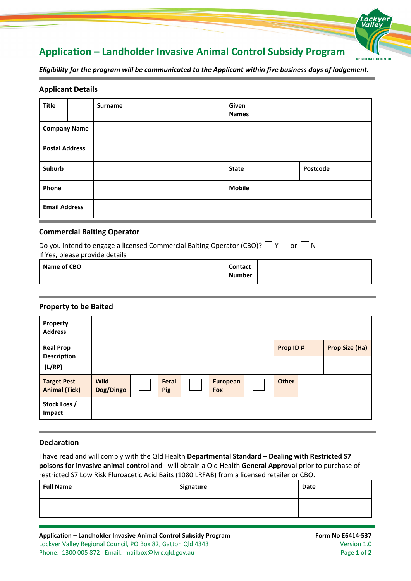# **Application – Landholder Invasive Animal Control Subsidy Program**

*Eligibility for the program will be communicated to the Applicant within five business days of lodgement.*

## **Applicant Details**

| <b>Title</b>          |  | Surname |  | Given<br><b>Names</b> |  |          |  |
|-----------------------|--|---------|--|-----------------------|--|----------|--|
| <b>Company Name</b>   |  |         |  |                       |  |          |  |
| <b>Postal Address</b> |  |         |  |                       |  |          |  |
| Suburb                |  |         |  | <b>State</b>          |  | Postcode |  |
| Phone                 |  |         |  | <b>Mobile</b>         |  |          |  |
| <b>Email Address</b>  |  |         |  |                       |  |          |  |

# **Commercial Baiting Operator**

| Do you intend to engage a licensed Commercial Baiting Operator (CBO)? $\Box$ Y | - I N<br>or 1 |                                 |  |  |  |
|--------------------------------------------------------------------------------|---------------|---------------------------------|--|--|--|
| If Yes, please provide details                                                 |               |                                 |  |  |  |
| Name of CBO                                                                    |               | <b>Contact</b><br><b>Number</b> |  |  |  |

## **Property to be Baited**

| Property<br><b>Address</b>                       |                          |              |                        |              |                       |
|--------------------------------------------------|--------------------------|--------------|------------------------|--------------|-----------------------|
| <b>Real Prop</b><br><b>Description</b><br>(L/RP) |                          |              |                        | Prop ID#     | <b>Prop Size (Ha)</b> |
| <b>Target Pest</b><br><b>Animal (Tick)</b>       | <b>Wild</b><br>Dog/Dingo | Feral<br>Pig | European<br><b>Fox</b> | <b>Other</b> |                       |
| Stock Loss /<br>Impact                           |                          |              |                        |              |                       |

### **Declaration**

I have read and will comply with the Qld Health **Departmental Standard – Dealing with Restricted S7 poisons for invasive animal control** and I will obtain a Qld Health **General Approval** prior to purchase of restricted S7 Low Risk Fluroacetic Acid Baits (1080 LRFAB) from a licensed retailer or CBO.

| <b>Full Name</b> | Signature | Date |
|------------------|-----------|------|
|                  |           |      |

**REGIONAL COUNCIL**